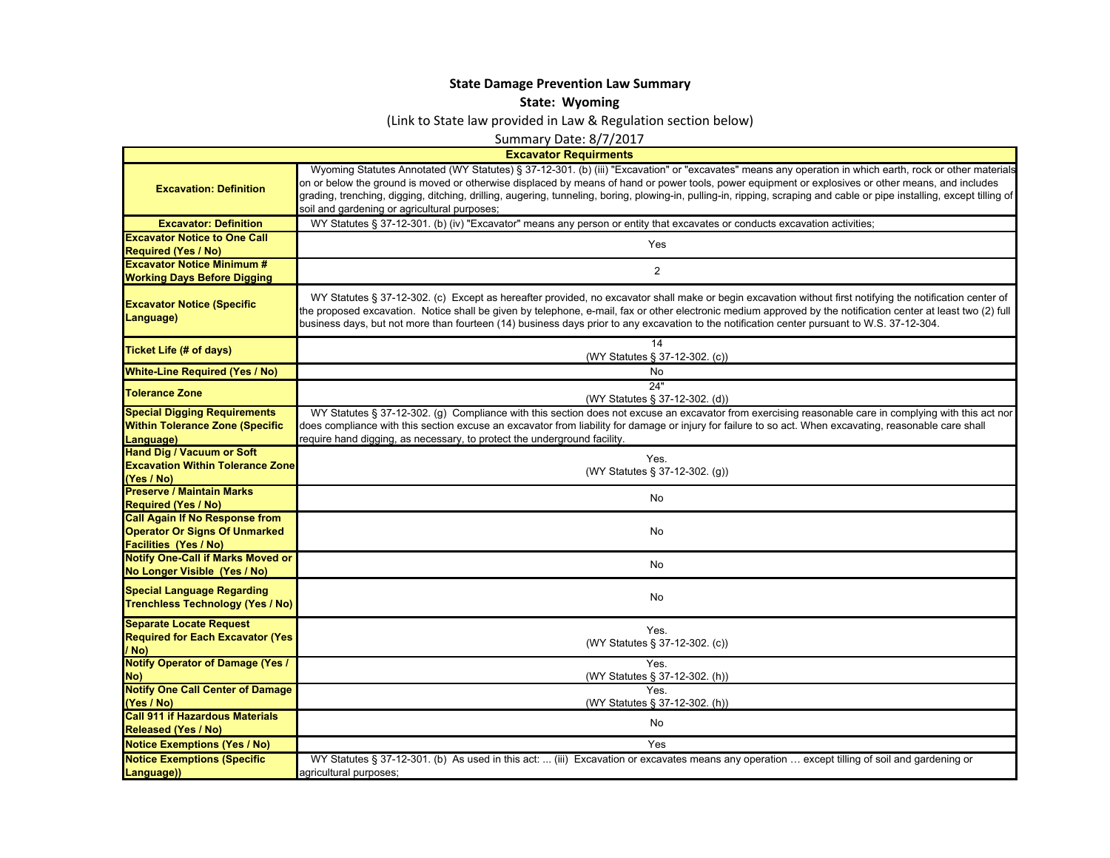## **State Damage Prevention Law Summary**

## **State: Wyoming**

(Link to State law provided in Law & Regulation section below)

Summary Date: 8/7/2017

|                                                                                                               | <b>Excavator Requirments</b>                                                                                                                                                                                                                                                                                                                                                                                                                                                                                                             |
|---------------------------------------------------------------------------------------------------------------|------------------------------------------------------------------------------------------------------------------------------------------------------------------------------------------------------------------------------------------------------------------------------------------------------------------------------------------------------------------------------------------------------------------------------------------------------------------------------------------------------------------------------------------|
| <b>Excavation: Definition</b>                                                                                 | Wyoming Statutes Annotated (WY Statutes) § 37-12-301. (b) (iii) "Excavation" or "excavates" means any operation in which earth, rock or other materials<br>on or below the ground is moved or otherwise displaced by means of hand or power tools, power equipment or explosives or other means, and includes<br>grading, trenching, digging, ditching, drilling, augering, tunneling, boring, plowing-in, pulling-in, ripping, scraping and cable or pipe installing, except tilling of<br>soil and gardening or agricultural purposes; |
| <b>Excavator: Definition</b>                                                                                  | WY Statutes § 37-12-301. (b) (iv) "Excavator" means any person or entity that excavates or conducts excavation activities;                                                                                                                                                                                                                                                                                                                                                                                                               |
| <b>Excavator Notice to One Call</b><br><b>Required (Yes / No)</b>                                             | Yes                                                                                                                                                                                                                                                                                                                                                                                                                                                                                                                                      |
| <b>Excavator Notice Minimum #</b><br><b>Working Days Before Digging</b>                                       | $\overline{2}$                                                                                                                                                                                                                                                                                                                                                                                                                                                                                                                           |
| <b>Excavator Notice (Specific</b><br>Language)                                                                | WY Statutes § 37-12-302. (c) Except as hereafter provided, no excavator shall make or begin excavation without first notifying the notification center of<br>the proposed excavation. Notice shall be given by telephone, e-mail, fax or other electronic medium approved by the notification center at least two (2) full<br>business days, but not more than fourteen (14) business days prior to any excavation to the notification center pursuant to W.S. 37-12-304.                                                                |
| <b>Ticket Life (# of days)</b>                                                                                | 14<br>(WY Statutes § 37-12-302. (c))                                                                                                                                                                                                                                                                                                                                                                                                                                                                                                     |
| <b>White-Line Required (Yes / No)</b>                                                                         | No                                                                                                                                                                                                                                                                                                                                                                                                                                                                                                                                       |
| <b>Tolerance Zone</b>                                                                                         | 24"<br>(WY Statutes § 37-12-302. (d))                                                                                                                                                                                                                                                                                                                                                                                                                                                                                                    |
| <b>Special Digging Requirements</b><br><b>Within Tolerance Zone (Specific</b><br>Language)                    | WY Statutes § 37-12-302. (g) Compliance with this section does not excuse an excavator from exercising reasonable care in complying with this act nor<br>does compliance with this section excuse an excavator from liability for damage or injury for failure to so act. When excavating, reasonable care shall<br>require hand digging, as necessary, to protect the underground facility.                                                                                                                                             |
| <b>Hand Dig / Vacuum or Soft</b><br><b>Excavation Within Tolerance Zone</b><br>(Yes / No)                     | Yes.<br>(WY Statutes § 37-12-302. (g))                                                                                                                                                                                                                                                                                                                                                                                                                                                                                                   |
| <b>Preserve / Maintain Marks</b><br><b>Required (Yes / No)</b>                                                | No                                                                                                                                                                                                                                                                                                                                                                                                                                                                                                                                       |
| <b>Call Again If No Response from</b><br><b>Operator Or Signs Of Unmarked</b><br><b>Facilities (Yes / No)</b> | No                                                                                                                                                                                                                                                                                                                                                                                                                                                                                                                                       |
| <b>Notify One-Call if Marks Moved or</b><br>No Longer Visible (Yes / No)                                      | No                                                                                                                                                                                                                                                                                                                                                                                                                                                                                                                                       |
| <b>Special Language Regarding</b><br><b>Trenchless Technology (Yes / No)</b>                                  | No                                                                                                                                                                                                                                                                                                                                                                                                                                                                                                                                       |
| <b>Separate Locate Request</b><br><b>Required for Each Excavator (Yes</b><br>/ No)                            | Yes.<br>(WY Statutes § 37-12-302. (c))                                                                                                                                                                                                                                                                                                                                                                                                                                                                                                   |
| <b>Notify Operator of Damage (Yes /</b><br>No)                                                                | Yes.<br>(WY Statutes § 37-12-302. (h))                                                                                                                                                                                                                                                                                                                                                                                                                                                                                                   |
| <b>Notify One Call Center of Damage</b><br>(Yes / No)                                                         | Yes.<br>(WY Statutes § 37-12-302. (h))                                                                                                                                                                                                                                                                                                                                                                                                                                                                                                   |
| <b>Call 911 if Hazardous Materials</b><br><b>Released (Yes / No)</b>                                          | No                                                                                                                                                                                                                                                                                                                                                                                                                                                                                                                                       |
| <b>Notice Exemptions (Yes / No)</b>                                                                           | Yes                                                                                                                                                                                                                                                                                                                                                                                                                                                                                                                                      |
| <b>Notice Exemptions (Specific</b><br>Language))                                                              | WY Statutes § 37-12-301. (b) As used in this act:  (iii) Excavation or excavates means any operation  except tilling of soil and gardening or<br>agricultural purposes;                                                                                                                                                                                                                                                                                                                                                                  |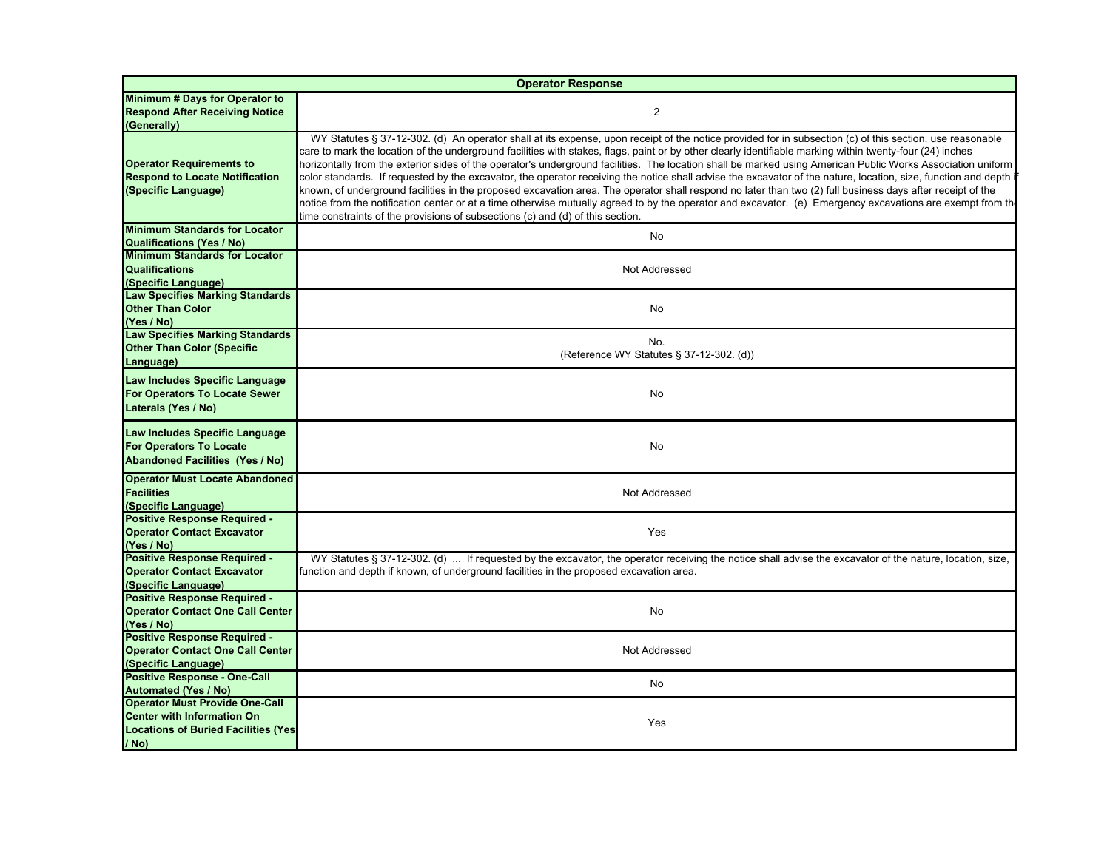|                                                                                                            | <b>Operator Response</b>                                                                                                                                                                                                                                                                                                                                                                                                                                                                                                                                                                                                                                                                                                                                                                                                                                                                                                                                                                                                                                               |
|------------------------------------------------------------------------------------------------------------|------------------------------------------------------------------------------------------------------------------------------------------------------------------------------------------------------------------------------------------------------------------------------------------------------------------------------------------------------------------------------------------------------------------------------------------------------------------------------------------------------------------------------------------------------------------------------------------------------------------------------------------------------------------------------------------------------------------------------------------------------------------------------------------------------------------------------------------------------------------------------------------------------------------------------------------------------------------------------------------------------------------------------------------------------------------------|
| Minimum # Days for Operator to<br><b>Respond After Receiving Notice</b><br>(Generally)                     | $\overline{2}$                                                                                                                                                                                                                                                                                                                                                                                                                                                                                                                                                                                                                                                                                                                                                                                                                                                                                                                                                                                                                                                         |
| <b>Operator Requirements to</b><br><b>Respond to Locate Notification</b><br>(Specific Language)            | WY Statutes § 37-12-302. (d) An operator shall at its expense, upon receipt of the notice provided for in subsection (c) of this section, use reasonable<br>care to mark the location of the underground facilities with stakes, flags, paint or by other clearly identifiable marking within twenty-four (24) inches<br>horizontally from the exterior sides of the operator's underground facilities. The location shall be marked using American Public Works Association uniform<br>color standards. If requested by the excavator, the operator receiving the notice shall advise the excavator of the nature, location, size, function and depth i<br>known, of underground facilities in the proposed excavation area. The operator shall respond no later than two (2) full business days after receipt of the<br>notice from the notification center or at a time otherwise mutually agreed to by the operator and excavator. (e) Emergency excavations are exempt from the<br>time constraints of the provisions of subsections (c) and (d) of this section. |
| <b>Minimum Standards for Locator</b>                                                                       | No                                                                                                                                                                                                                                                                                                                                                                                                                                                                                                                                                                                                                                                                                                                                                                                                                                                                                                                                                                                                                                                                     |
| <b>Qualifications (Yes / No)</b><br><b>Minimum Standards for Locator</b>                                   |                                                                                                                                                                                                                                                                                                                                                                                                                                                                                                                                                                                                                                                                                                                                                                                                                                                                                                                                                                                                                                                                        |
| <b>Qualifications</b><br>(Specific Language)                                                               | Not Addressed                                                                                                                                                                                                                                                                                                                                                                                                                                                                                                                                                                                                                                                                                                                                                                                                                                                                                                                                                                                                                                                          |
| <b>Law Specifies Marking Standards</b><br><b>Other Than Color</b><br>(Yes / No)                            | No                                                                                                                                                                                                                                                                                                                                                                                                                                                                                                                                                                                                                                                                                                                                                                                                                                                                                                                                                                                                                                                                     |
| <b>Law Specifies Marking Standards</b><br><b>Other Than Color (Specific</b><br>Language)                   | No.<br>(Reference WY Statutes § 37-12-302. (d))                                                                                                                                                                                                                                                                                                                                                                                                                                                                                                                                                                                                                                                                                                                                                                                                                                                                                                                                                                                                                        |
| Law Includes Specific Language<br><b>For Operators To Locate Sewer</b><br>Laterals (Yes / No)              | No                                                                                                                                                                                                                                                                                                                                                                                                                                                                                                                                                                                                                                                                                                                                                                                                                                                                                                                                                                                                                                                                     |
| Law Includes Specific Language<br><b>For Operators To Locate</b><br><b>Abandoned Facilities (Yes / No)</b> | No                                                                                                                                                                                                                                                                                                                                                                                                                                                                                                                                                                                                                                                                                                                                                                                                                                                                                                                                                                                                                                                                     |
| <b>Operator Must Locate Abandoned</b><br><b>Facilities</b><br>(Specific Language)                          | Not Addressed                                                                                                                                                                                                                                                                                                                                                                                                                                                                                                                                                                                                                                                                                                                                                                                                                                                                                                                                                                                                                                                          |
| Positive Response Required -<br><b>Operator Contact Excavator</b><br>(Yes / No)                            | Yes                                                                                                                                                                                                                                                                                                                                                                                                                                                                                                                                                                                                                                                                                                                                                                                                                                                                                                                                                                                                                                                                    |
| <b>Positive Response Required -</b><br><b>Operator Contact Excavator</b><br>(Specific Language)            | WY Statutes § 37-12-302. (d)  If requested by the excavator, the operator receiving the notice shall advise the excavator of the nature, location, size,<br>function and depth if known, of underground facilities in the proposed excavation area.                                                                                                                                                                                                                                                                                                                                                                                                                                                                                                                                                                                                                                                                                                                                                                                                                    |
| <b>Positive Response Required -</b><br><b>Operator Contact One Call Center</b><br>(Yes / No)               | No                                                                                                                                                                                                                                                                                                                                                                                                                                                                                                                                                                                                                                                                                                                                                                                                                                                                                                                                                                                                                                                                     |
| <b>Positive Response Required -</b><br><b>Operator Contact One Call Center</b><br>(Specific Language)      | Not Addressed                                                                                                                                                                                                                                                                                                                                                                                                                                                                                                                                                                                                                                                                                                                                                                                                                                                                                                                                                                                                                                                          |
| <b>Positive Response - One-Call</b>                                                                        | No                                                                                                                                                                                                                                                                                                                                                                                                                                                                                                                                                                                                                                                                                                                                                                                                                                                                                                                                                                                                                                                                     |
| <b>Automated (Yes / No)</b><br><b>Operator Must Provide One-Call</b>                                       |                                                                                                                                                                                                                                                                                                                                                                                                                                                                                                                                                                                                                                                                                                                                                                                                                                                                                                                                                                                                                                                                        |
| <b>Center with Information On</b><br><b>Locations of Buried Facilities (Yes)</b><br>/ No)                  | Yes                                                                                                                                                                                                                                                                                                                                                                                                                                                                                                                                                                                                                                                                                                                                                                                                                                                                                                                                                                                                                                                                    |
|                                                                                                            |                                                                                                                                                                                                                                                                                                                                                                                                                                                                                                                                                                                                                                                                                                                                                                                                                                                                                                                                                                                                                                                                        |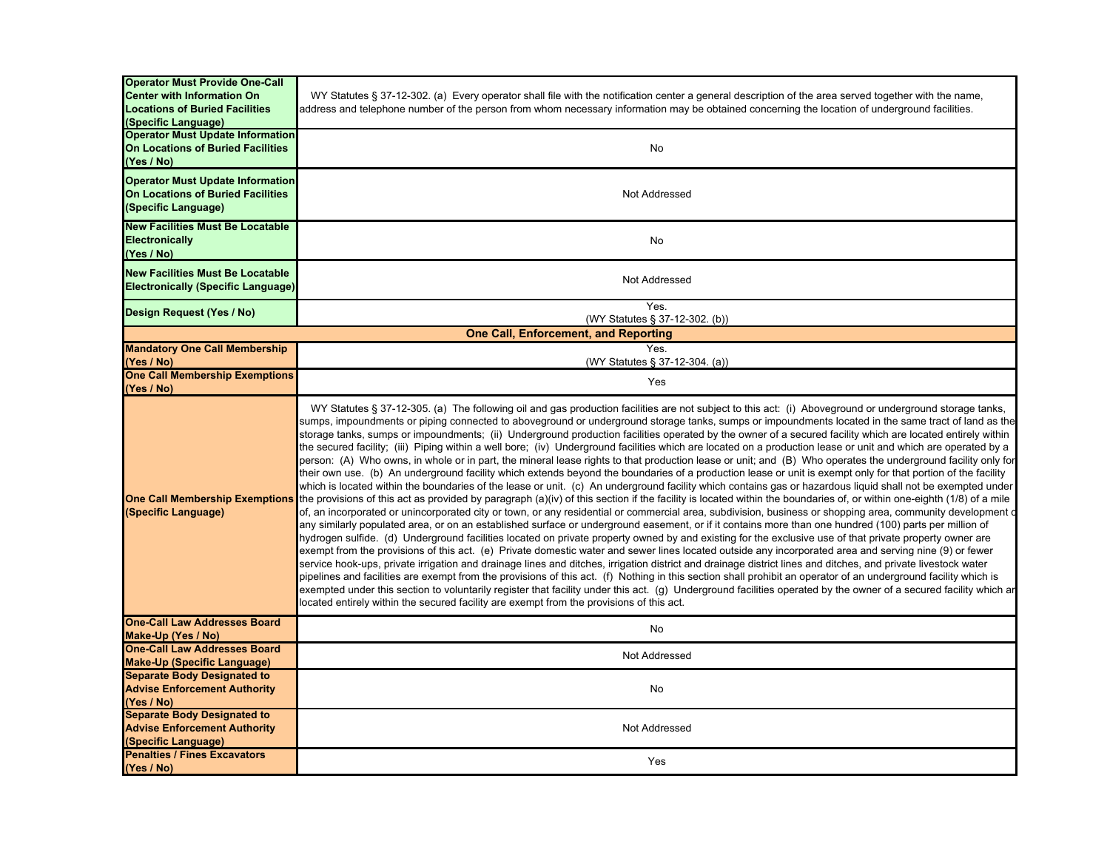| <b>Operator Must Provide One-Call</b><br><b>Center with Information On</b><br><b>Locations of Buried Facilities</b><br>(Specific Language) | WY Statutes § 37-12-302. (a) Every operator shall file with the notification center a general description of the area served together with the name,<br>address and telephone number of the person from whom necessary information may be obtained concerning the location of underground facilities.                                                                                                                                                                                                                                                                                                                                                                                                                                                                                                                                                                                                                                                                                                                                                                                                                                                                                                                                                                                                                                                                                                                                                                                                                                                                                                                                                                                                                                                                                                                                                                                                                                                                                                                                                                                                                                                                                                                                                                                                                                                                                                                                                                                                                                                                     |
|--------------------------------------------------------------------------------------------------------------------------------------------|---------------------------------------------------------------------------------------------------------------------------------------------------------------------------------------------------------------------------------------------------------------------------------------------------------------------------------------------------------------------------------------------------------------------------------------------------------------------------------------------------------------------------------------------------------------------------------------------------------------------------------------------------------------------------------------------------------------------------------------------------------------------------------------------------------------------------------------------------------------------------------------------------------------------------------------------------------------------------------------------------------------------------------------------------------------------------------------------------------------------------------------------------------------------------------------------------------------------------------------------------------------------------------------------------------------------------------------------------------------------------------------------------------------------------------------------------------------------------------------------------------------------------------------------------------------------------------------------------------------------------------------------------------------------------------------------------------------------------------------------------------------------------------------------------------------------------------------------------------------------------------------------------------------------------------------------------------------------------------------------------------------------------------------------------------------------------------------------------------------------------------------------------------------------------------------------------------------------------------------------------------------------------------------------------------------------------------------------------------------------------------------------------------------------------------------------------------------------------------------------------------------------------------------------------------------------------|
| <b>Operator Must Update Information</b><br><b>On Locations of Buried Facilities</b><br>(Yes / No)                                          | No                                                                                                                                                                                                                                                                                                                                                                                                                                                                                                                                                                                                                                                                                                                                                                                                                                                                                                                                                                                                                                                                                                                                                                                                                                                                                                                                                                                                                                                                                                                                                                                                                                                                                                                                                                                                                                                                                                                                                                                                                                                                                                                                                                                                                                                                                                                                                                                                                                                                                                                                                                        |
| <b>Operator Must Update Information</b><br><b>On Locations of Buried Facilities</b><br>(Specific Language)                                 | Not Addressed                                                                                                                                                                                                                                                                                                                                                                                                                                                                                                                                                                                                                                                                                                                                                                                                                                                                                                                                                                                                                                                                                                                                                                                                                                                                                                                                                                                                                                                                                                                                                                                                                                                                                                                                                                                                                                                                                                                                                                                                                                                                                                                                                                                                                                                                                                                                                                                                                                                                                                                                                             |
| <b>New Facilities Must Be Locatable</b><br>Electronically<br>(Yes / No)                                                                    | No                                                                                                                                                                                                                                                                                                                                                                                                                                                                                                                                                                                                                                                                                                                                                                                                                                                                                                                                                                                                                                                                                                                                                                                                                                                                                                                                                                                                                                                                                                                                                                                                                                                                                                                                                                                                                                                                                                                                                                                                                                                                                                                                                                                                                                                                                                                                                                                                                                                                                                                                                                        |
| <b>New Facilities Must Be Locatable</b><br><b>Electronically (Specific Language)</b>                                                       | Not Addressed                                                                                                                                                                                                                                                                                                                                                                                                                                                                                                                                                                                                                                                                                                                                                                                                                                                                                                                                                                                                                                                                                                                                                                                                                                                                                                                                                                                                                                                                                                                                                                                                                                                                                                                                                                                                                                                                                                                                                                                                                                                                                                                                                                                                                                                                                                                                                                                                                                                                                                                                                             |
| Design Request (Yes / No)                                                                                                                  | Yes.<br>(WY Statutes § 37-12-302. (b))                                                                                                                                                                                                                                                                                                                                                                                                                                                                                                                                                                                                                                                                                                                                                                                                                                                                                                                                                                                                                                                                                                                                                                                                                                                                                                                                                                                                                                                                                                                                                                                                                                                                                                                                                                                                                                                                                                                                                                                                                                                                                                                                                                                                                                                                                                                                                                                                                                                                                                                                    |
|                                                                                                                                            | <b>One Call, Enforcement, and Reporting</b>                                                                                                                                                                                                                                                                                                                                                                                                                                                                                                                                                                                                                                                                                                                                                                                                                                                                                                                                                                                                                                                                                                                                                                                                                                                                                                                                                                                                                                                                                                                                                                                                                                                                                                                                                                                                                                                                                                                                                                                                                                                                                                                                                                                                                                                                                                                                                                                                                                                                                                                               |
| <b>Mandatory One Call Membership</b><br>(Yes / No)                                                                                         | Yes.<br>(WY Statutes § 37-12-304. (a))                                                                                                                                                                                                                                                                                                                                                                                                                                                                                                                                                                                                                                                                                                                                                                                                                                                                                                                                                                                                                                                                                                                                                                                                                                                                                                                                                                                                                                                                                                                                                                                                                                                                                                                                                                                                                                                                                                                                                                                                                                                                                                                                                                                                                                                                                                                                                                                                                                                                                                                                    |
| <b>One Call Membership Exemptions</b><br>(Yes / No)                                                                                        | Yes                                                                                                                                                                                                                                                                                                                                                                                                                                                                                                                                                                                                                                                                                                                                                                                                                                                                                                                                                                                                                                                                                                                                                                                                                                                                                                                                                                                                                                                                                                                                                                                                                                                                                                                                                                                                                                                                                                                                                                                                                                                                                                                                                                                                                                                                                                                                                                                                                                                                                                                                                                       |
| <b>One Call Membership Exemptions</b><br>(Specific Language)                                                                               | WY Statutes § 37-12-305. (a) The following oil and gas production facilities are not subject to this act: (i) Aboveground or underground storage tanks,<br>sumps, impoundments or piping connected to aboveground or underground storage tanks, sumps or impoundments located in the same tract of land as the<br>storage tanks, sumps or impoundments; (ii) Underground production facilities operated by the owner of a secured facility which are located entirely within<br>the secured facility; (iii) Piping within a well bore; (iv) Underground facilities which are located on a production lease or unit and which are operated by a<br>person: (A) Who owns, in whole or in part, the mineral lease rights to that production lease or unit; and (B) Who operates the underground facility only for<br>their own use. (b) An underground facility which extends beyond the boundaries of a production lease or unit is exempt only for that portion of the facility<br>which is located within the boundaries of the lease or unit. (c) An underground facility which contains gas or hazardous liquid shall not be exempted under<br>the provisions of this act as provided by paragraph (a)(iv) of this section if the facility is located within the boundaries of, or within one-eighth (1/8) of a mile<br>of, an incorporated or unincorporated city or town, or any residential or commercial area, subdivision, business or shopping area, community development of<br>any similarly populated area, or on an established surface or underground easement, or if it contains more than one hundred (100) parts per million of<br>hydrogen sulfide. (d) Underground facilities located on private property owned by and existing for the exclusive use of that private property owner are<br>exempt from the provisions of this act. (e) Private domestic water and sewer lines located outside any incorporated area and serving nine (9) or fewer<br>service hook-ups, private irrigation and drainage lines and ditches, irrigation district and drainage district lines and ditches, and private livestock water<br>pipelines and facilities are exempt from the provisions of this act. (f) Nothing in this section shall prohibit an operator of an underground facility which is<br>exempted under this section to voluntarily register that facility under this act. (g) Underground facilities operated by the owner of a secured facility which ar<br>located entirely within the secured facility are exempt from the provisions of this act. |
| <b>One-Call Law Addresses Board</b><br>Make-Up (Yes / No)                                                                                  | No                                                                                                                                                                                                                                                                                                                                                                                                                                                                                                                                                                                                                                                                                                                                                                                                                                                                                                                                                                                                                                                                                                                                                                                                                                                                                                                                                                                                                                                                                                                                                                                                                                                                                                                                                                                                                                                                                                                                                                                                                                                                                                                                                                                                                                                                                                                                                                                                                                                                                                                                                                        |
| <b>One-Call Law Addresses Board</b>                                                                                                        | Not Addressed                                                                                                                                                                                                                                                                                                                                                                                                                                                                                                                                                                                                                                                                                                                                                                                                                                                                                                                                                                                                                                                                                                                                                                                                                                                                                                                                                                                                                                                                                                                                                                                                                                                                                                                                                                                                                                                                                                                                                                                                                                                                                                                                                                                                                                                                                                                                                                                                                                                                                                                                                             |
| <b>Make-Up (Specific Language)</b>                                                                                                         |                                                                                                                                                                                                                                                                                                                                                                                                                                                                                                                                                                                                                                                                                                                                                                                                                                                                                                                                                                                                                                                                                                                                                                                                                                                                                                                                                                                                                                                                                                                                                                                                                                                                                                                                                                                                                                                                                                                                                                                                                                                                                                                                                                                                                                                                                                                                                                                                                                                                                                                                                                           |
| <b>Separate Body Designated to</b><br><b>Advise Enforcement Authority</b><br>(Yes / No)                                                    | No                                                                                                                                                                                                                                                                                                                                                                                                                                                                                                                                                                                                                                                                                                                                                                                                                                                                                                                                                                                                                                                                                                                                                                                                                                                                                                                                                                                                                                                                                                                                                                                                                                                                                                                                                                                                                                                                                                                                                                                                                                                                                                                                                                                                                                                                                                                                                                                                                                                                                                                                                                        |
| <b>Separate Body Designated to</b><br><b>Advise Enforcement Authority</b><br>(Specific Language)                                           | Not Addressed                                                                                                                                                                                                                                                                                                                                                                                                                                                                                                                                                                                                                                                                                                                                                                                                                                                                                                                                                                                                                                                                                                                                                                                                                                                                                                                                                                                                                                                                                                                                                                                                                                                                                                                                                                                                                                                                                                                                                                                                                                                                                                                                                                                                                                                                                                                                                                                                                                                                                                                                                             |
| <b>Penalties / Fines Excavators</b><br>(Yes / No)                                                                                          | Yes                                                                                                                                                                                                                                                                                                                                                                                                                                                                                                                                                                                                                                                                                                                                                                                                                                                                                                                                                                                                                                                                                                                                                                                                                                                                                                                                                                                                                                                                                                                                                                                                                                                                                                                                                                                                                                                                                                                                                                                                                                                                                                                                                                                                                                                                                                                                                                                                                                                                                                                                                                       |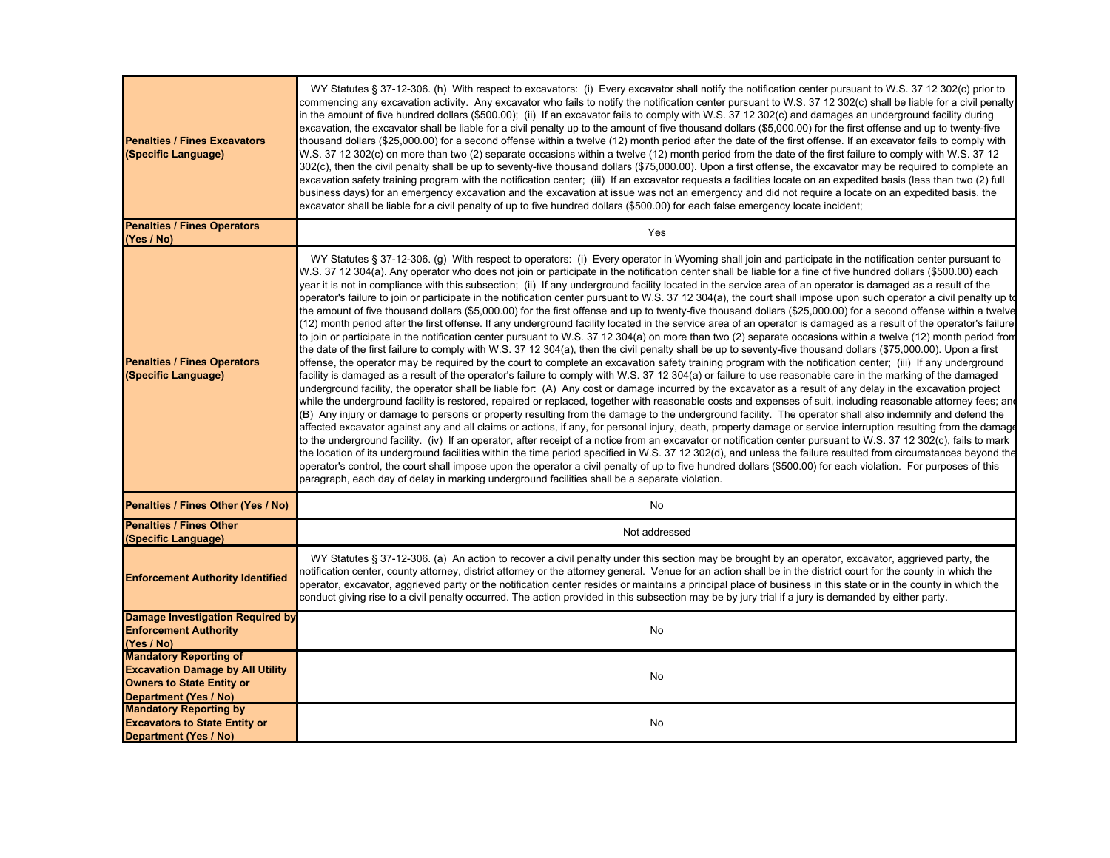| <b>Penalties / Fines Excavators</b><br>(Specific Language)                                                                            | WY Statutes § 37-12-306. (h) With respect to excavators: (i) Every excavator shall notify the notification center pursuant to W.S. 37 12 302(c) prior to<br>commencing any excavation activity. Any excavator who fails to notify the notification center pursuant to W.S. 37 12 302(c) shall be liable for a civil penalty<br>in the amount of five hundred dollars (\$500.00); (ii) If an excavator fails to comply with W.S. 37 12 302(c) and damages an underground facility during<br>excavation, the excavator shall be liable for a civil penalty up to the amount of five thousand dollars (\$5,000.00) for the first offense and up to twenty-five<br>thousand dollars (\$25,000.00) for a second offense within a twelve (12) month period after the date of the first offense. If an excavator fails to comply with<br>W.S. 37 12 302(c) on more than two (2) separate occasions within a twelve (12) month period from the date of the first failure to comply with W.S. 37 12<br>302(c), then the civil penalty shall be up to seventy-five thousand dollars (\$75,000.00). Upon a first offense, the excavator may be required to complete an<br>excavation safety training program with the notification center; (iii) If an excavator requests a facilities locate on an expedited basis (less than two (2) full<br>business days) for an emergency excavation and the excavation at issue was not an emergency and did not require a locate on an expedited basis, the<br>excavator shall be liable for a civil penalty of up to five hundred dollars (\$500.00) for each false emergency locate incident;                                                                                                                                                                                                                                                                                                                                                                                                                                                                                                                                                                                                                                                                                                                                                                                                                                                                                                                                                                                                                                                                                                                                                                                                                                                                                                                            |
|---------------------------------------------------------------------------------------------------------------------------------------|--------------------------------------------------------------------------------------------------------------------------------------------------------------------------------------------------------------------------------------------------------------------------------------------------------------------------------------------------------------------------------------------------------------------------------------------------------------------------------------------------------------------------------------------------------------------------------------------------------------------------------------------------------------------------------------------------------------------------------------------------------------------------------------------------------------------------------------------------------------------------------------------------------------------------------------------------------------------------------------------------------------------------------------------------------------------------------------------------------------------------------------------------------------------------------------------------------------------------------------------------------------------------------------------------------------------------------------------------------------------------------------------------------------------------------------------------------------------------------------------------------------------------------------------------------------------------------------------------------------------------------------------------------------------------------------------------------------------------------------------------------------------------------------------------------------------------------------------------------------------------------------------------------------------------------------------------------------------------------------------------------------------------------------------------------------------------------------------------------------------------------------------------------------------------------------------------------------------------------------------------------------------------------------------------------------------------------------------------------------------------------------------------------------------------------------------------------------------------------------------------------------------------------------------------------------------------------------------------------------------------------------------------------------------------------------------------------------------------------------------------------------------------------------------------------------------------------------------------------------------------------------------------------------------------------------------------------|
| <b>Penalties / Fines Operators</b><br>(Yes / No)                                                                                      | Yes                                                                                                                                                                                                                                                                                                                                                                                                                                                                                                                                                                                                                                                                                                                                                                                                                                                                                                                                                                                                                                                                                                                                                                                                                                                                                                                                                                                                                                                                                                                                                                                                                                                                                                                                                                                                                                                                                                                                                                                                                                                                                                                                                                                                                                                                                                                                                                                                                                                                                                                                                                                                                                                                                                                                                                                                                                                                                                                                                    |
| <b>Penalties / Fines Operators</b><br>(Specific Language)                                                                             | WY Statutes § 37-12-306. (g) With respect to operators: (i) Every operator in Wyoming shall join and participate in the notification center pursuant to<br>W.S. 37 12 304(a). Any operator who does not join or participate in the notification center shall be liable for a fine of five hundred dollars (\$500.00) each<br>year it is not in compliance with this subsection; (ii) If any underground facility located in the service area of an operator is damaged as a result of the<br>operator's failure to join or participate in the notification center pursuant to W.S. 37 12 304(a), the court shall impose upon such operator a civil penalty up to<br>the amount of five thousand dollars (\$5,000.00) for the first offense and up to twenty-five thousand dollars (\$25,000.00) for a second offense within a twelve<br>(12) month period after the first offense. If any underground facility located in the service area of an operator is damaged as a result of the operator's failure<br>to join or participate in the notification center pursuant to W.S. 37 12 304(a) on more than two (2) separate occasions within a twelve (12) month period from<br>the date of the first failure to comply with W.S. 37 12 304(a), then the civil penalty shall be up to seventy-five thousand dollars (\$75,000.00). Upon a first<br>offense, the operator may be required by the court to complete an excavation safety training program with the notification center; (iii) If any underground<br>facility is damaged as a result of the operator's failure to comply with W.S. 37 12 304(a) or failure to use reasonable care in the marking of the damaged<br>underground facility, the operator shall be liable for: (A) Any cost or damage incurred by the excavator as a result of any delay in the excavation project<br>while the underground facility is restored, repaired or replaced, together with reasonable costs and expenses of suit, including reasonable attorney fees; and<br>(B) Any injury or damage to persons or property resulting from the damage to the underground facility. The operator shall also indemnify and defend the<br>affected excavator against any and all claims or actions, if any, for personal injury, death, property damage or service interruption resulting from the damage<br>to the underground facility. (iv) If an operator, after receipt of a notice from an excavator or notification center pursuant to W.S. 37 12 302(c), fails to mark<br>the location of its underground facilities within the time period specified in W.S. 37 12 302(d), and unless the failure resulted from circumstances beyond the<br>operator's control, the court shall impose upon the operator a civil penalty of up to five hundred dollars (\$500.00) for each violation. For purposes of this<br>paragraph, each day of delay in marking underground facilities shall be a separate violation. |
| Penalties / Fines Other (Yes / No)                                                                                                    | No                                                                                                                                                                                                                                                                                                                                                                                                                                                                                                                                                                                                                                                                                                                                                                                                                                                                                                                                                                                                                                                                                                                                                                                                                                                                                                                                                                                                                                                                                                                                                                                                                                                                                                                                                                                                                                                                                                                                                                                                                                                                                                                                                                                                                                                                                                                                                                                                                                                                                                                                                                                                                                                                                                                                                                                                                                                                                                                                                     |
| <b>Penalties / Fines Other</b><br>(Specific Language)                                                                                 | Not addressed                                                                                                                                                                                                                                                                                                                                                                                                                                                                                                                                                                                                                                                                                                                                                                                                                                                                                                                                                                                                                                                                                                                                                                                                                                                                                                                                                                                                                                                                                                                                                                                                                                                                                                                                                                                                                                                                                                                                                                                                                                                                                                                                                                                                                                                                                                                                                                                                                                                                                                                                                                                                                                                                                                                                                                                                                                                                                                                                          |
| <b>Enforcement Authority Identified</b>                                                                                               | WY Statutes § 37-12-306. (a) An action to recover a civil penalty under this section may be brought by an operator, excavator, aggrieved party, the<br>notification center, county attorney, district attorney or the attorney general. Venue for an action shall be in the district court for the county in which the<br>operator, excavator, aggrieved party or the notification center resides or maintains a principal place of business in this state or in the county in which the<br>conduct giving rise to a civil penalty occurred. The action provided in this subsection may be by jury trial if a jury is demanded by either party.                                                                                                                                                                                                                                                                                                                                                                                                                                                                                                                                                                                                                                                                                                                                                                                                                                                                                                                                                                                                                                                                                                                                                                                                                                                                                                                                                                                                                                                                                                                                                                                                                                                                                                                                                                                                                                                                                                                                                                                                                                                                                                                                                                                                                                                                                                        |
| <b>Damage Investigation Required by</b><br><b>Enforcement Authority</b><br>(Yes / No)                                                 | No                                                                                                                                                                                                                                                                                                                                                                                                                                                                                                                                                                                                                                                                                                                                                                                                                                                                                                                                                                                                                                                                                                                                                                                                                                                                                                                                                                                                                                                                                                                                                                                                                                                                                                                                                                                                                                                                                                                                                                                                                                                                                                                                                                                                                                                                                                                                                                                                                                                                                                                                                                                                                                                                                                                                                                                                                                                                                                                                                     |
| <b>Mandatory Reporting of</b><br><b>Excavation Damage by All Utility</b><br><b>Owners to State Entity or</b><br>Department (Yes / No) | No                                                                                                                                                                                                                                                                                                                                                                                                                                                                                                                                                                                                                                                                                                                                                                                                                                                                                                                                                                                                                                                                                                                                                                                                                                                                                                                                                                                                                                                                                                                                                                                                                                                                                                                                                                                                                                                                                                                                                                                                                                                                                                                                                                                                                                                                                                                                                                                                                                                                                                                                                                                                                                                                                                                                                                                                                                                                                                                                                     |
| <b>Mandatory Reporting by</b><br><b>Excavators to State Entity or</b><br>Department (Yes / No)                                        | No                                                                                                                                                                                                                                                                                                                                                                                                                                                                                                                                                                                                                                                                                                                                                                                                                                                                                                                                                                                                                                                                                                                                                                                                                                                                                                                                                                                                                                                                                                                                                                                                                                                                                                                                                                                                                                                                                                                                                                                                                                                                                                                                                                                                                                                                                                                                                                                                                                                                                                                                                                                                                                                                                                                                                                                                                                                                                                                                                     |